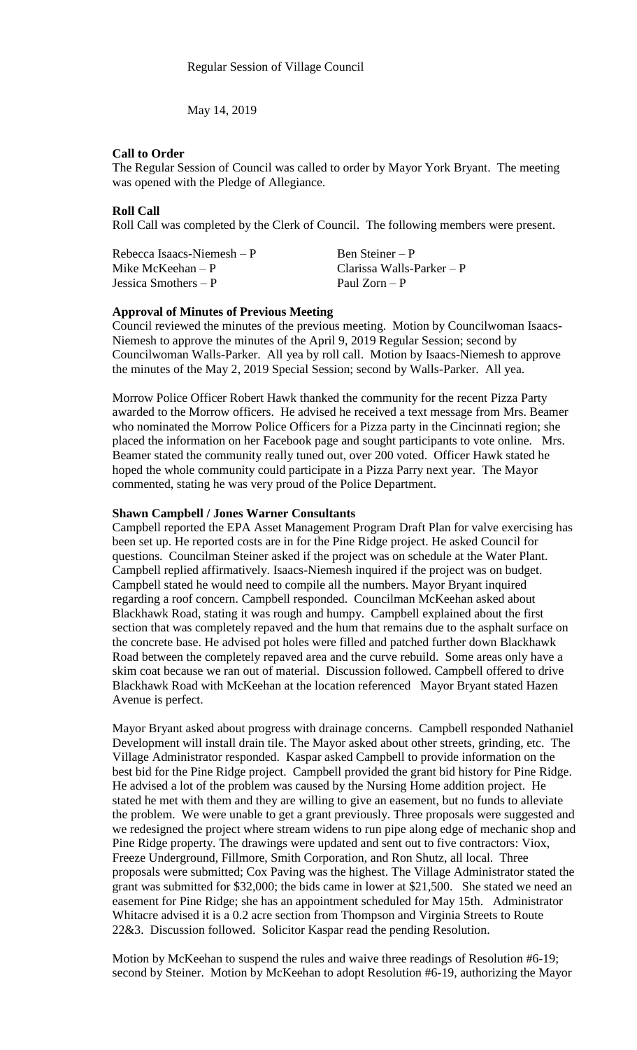May 14, 2019

## **Call to Order**

The Regular Session of Council was called to order by Mayor York Bryant. The meeting was opened with the Pledge of Allegiance.

# **Roll Call**

Roll Call was completed by the Clerk of Council. The following members were present.

| Rebecca Isaacs-Niemesh $-P$ | Ben Steiner – P             |
|-----------------------------|-----------------------------|
| Mike McKeehan $- P$         | Clarissa Walls-Parker $- P$ |
| Jessica Smothers $- P$      | Paul Zorn – P               |

#### **Approval of Minutes of Previous Meeting**

Council reviewed the minutes of the previous meeting. Motion by Councilwoman Isaacs-Niemesh to approve the minutes of the April 9, 2019 Regular Session; second by Councilwoman Walls-Parker. All yea by roll call. Motion by Isaacs-Niemesh to approve the minutes of the May 2, 2019 Special Session; second by Walls-Parker. All yea.

Morrow Police Officer Robert Hawk thanked the community for the recent Pizza Party awarded to the Morrow officers. He advised he received a text message from Mrs. Beamer who nominated the Morrow Police Officers for a Pizza party in the Cincinnati region; she placed the information on her Facebook page and sought participants to vote online. Mrs. Beamer stated the community really tuned out, over 200 voted. Officer Hawk stated he hoped the whole community could participate in a Pizza Parry next year. The Mayor commented, stating he was very proud of the Police Department.

## **Shawn Campbell / Jones Warner Consultants**

Campbell reported the EPA Asset Management Program Draft Plan for valve exercising has been set up. He reported costs are in for the Pine Ridge project. He asked Council for questions. Councilman Steiner asked if the project was on schedule at the Water Plant. Campbell replied affirmatively. Isaacs-Niemesh inquired if the project was on budget. Campbell stated he would need to compile all the numbers. Mayor Bryant inquired regarding a roof concern. Campbell responded. Councilman McKeehan asked about Blackhawk Road, stating it was rough and humpy. Campbell explained about the first section that was completely repaved and the hum that remains due to the asphalt surface on the concrete base. He advised pot holes were filled and patched further down Blackhawk Road between the completely repaved area and the curve rebuild. Some areas only have a skim coat because we ran out of material. Discussion followed. Campbell offered to drive Blackhawk Road with McKeehan at the location referenced Mayor Bryant stated Hazen Avenue is perfect.

Mayor Bryant asked about progress with drainage concerns. Campbell responded Nathaniel Development will install drain tile. The Mayor asked about other streets, grinding, etc. The Village Administrator responded. Kaspar asked Campbell to provide information on the best bid for the Pine Ridge project. Campbell provided the grant bid history for Pine Ridge. He advised a lot of the problem was caused by the Nursing Home addition project. He stated he met with them and they are willing to give an easement, but no funds to alleviate the problem. We were unable to get a grant previously. Three proposals were suggested and we redesigned the project where stream widens to run pipe along edge of mechanic shop and Pine Ridge property. The drawings were updated and sent out to five contractors: Viox, Freeze Underground, Fillmore, Smith Corporation, and Ron Shutz, all local. Three proposals were submitted; Cox Paving was the highest. The Village Administrator stated the grant was submitted for \$32,000; the bids came in lower at \$21,500. She stated we need an easement for Pine Ridge; she has an appointment scheduled for May 15th. Administrator Whitacre advised it is a 0.2 acre section from Thompson and Virginia Streets to Route 22&3. Discussion followed. Solicitor Kaspar read the pending Resolution.

Motion by McKeehan to suspend the rules and waive three readings of Resolution #6-19; second by Steiner. Motion by McKeehan to adopt Resolution #6-19, authorizing the Mayor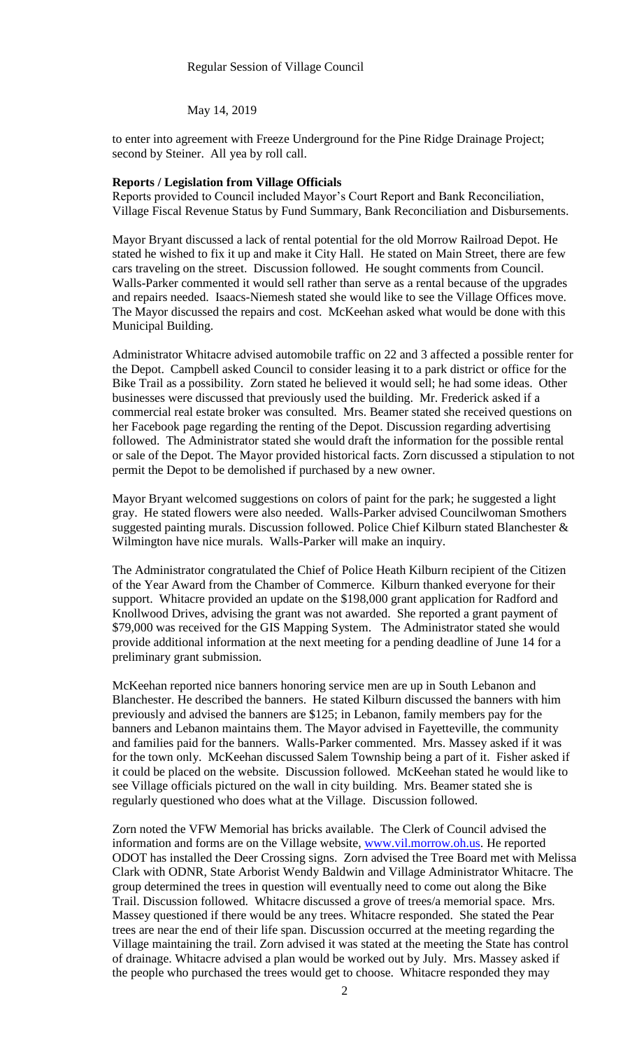#### Regular Session of Village Council

May 14, 2019

to enter into agreement with Freeze Underground for the Pine Ridge Drainage Project; second by Steiner. All yea by roll call.

#### **Reports / Legislation from Village Officials**

Reports provided to Council included Mayor's Court Report and Bank Reconciliation, Village Fiscal Revenue Status by Fund Summary, Bank Reconciliation and Disbursements.

Mayor Bryant discussed a lack of rental potential for the old Morrow Railroad Depot. He stated he wished to fix it up and make it City Hall. He stated on Main Street, there are few cars traveling on the street. Discussion followed. He sought comments from Council. Walls-Parker commented it would sell rather than serve as a rental because of the upgrades and repairs needed. Isaacs-Niemesh stated she would like to see the Village Offices move. The Mayor discussed the repairs and cost. McKeehan asked what would be done with this Municipal Building.

Administrator Whitacre advised automobile traffic on 22 and 3 affected a possible renter for the Depot. Campbell asked Council to consider leasing it to a park district or office for the Bike Trail as a possibility. Zorn stated he believed it would sell; he had some ideas. Other businesses were discussed that previously used the building. Mr. Frederick asked if a commercial real estate broker was consulted. Mrs. Beamer stated she received questions on her Facebook page regarding the renting of the Depot. Discussion regarding advertising followed. The Administrator stated she would draft the information for the possible rental or sale of the Depot. The Mayor provided historical facts. Zorn discussed a stipulation to not permit the Depot to be demolished if purchased by a new owner.

Mayor Bryant welcomed suggestions on colors of paint for the park; he suggested a light gray. He stated flowers were also needed. Walls-Parker advised Councilwoman Smothers suggested painting murals. Discussion followed. Police Chief Kilburn stated Blanchester & Wilmington have nice murals. Walls-Parker will make an inquiry.

The Administrator congratulated the Chief of Police Heath Kilburn recipient of the Citizen of the Year Award from the Chamber of Commerce. Kilburn thanked everyone for their support. Whitacre provided an update on the \$198,000 grant application for Radford and Knollwood Drives, advising the grant was not awarded. She reported a grant payment of \$79,000 was received for the GIS Mapping System. The Administrator stated she would provide additional information at the next meeting for a pending deadline of June 14 for a preliminary grant submission.

McKeehan reported nice banners honoring service men are up in South Lebanon and Blanchester. He described the banners. He stated Kilburn discussed the banners with him previously and advised the banners are \$125; in Lebanon, family members pay for the banners and Lebanon maintains them. The Mayor advised in Fayetteville, the community and families paid for the banners. Walls-Parker commented. Mrs. Massey asked if it was for the town only. McKeehan discussed Salem Township being a part of it. Fisher asked if it could be placed on the website. Discussion followed. McKeehan stated he would like to see Village officials pictured on the wall in city building. Mrs. Beamer stated she is regularly questioned who does what at the Village. Discussion followed.

Zorn noted the VFW Memorial has bricks available. The Clerk of Council advised the information and forms are on the Village website, [www.vil.morrow.oh.us.](http://www.vil.morrow.oh.us/) He reported ODOT has installed the Deer Crossing signs. Zorn advised the Tree Board met with Melissa Clark with ODNR, State Arborist Wendy Baldwin and Village Administrator Whitacre. The group determined the trees in question will eventually need to come out along the Bike Trail. Discussion followed. Whitacre discussed a grove of trees/a memorial space. Mrs. Massey questioned if there would be any trees. Whitacre responded. She stated the Pear trees are near the end of their life span. Discussion occurred at the meeting regarding the Village maintaining the trail. Zorn advised it was stated at the meeting the State has control of drainage. Whitacre advised a plan would be worked out by July. Mrs. Massey asked if the people who purchased the trees would get to choose. Whitacre responded they may